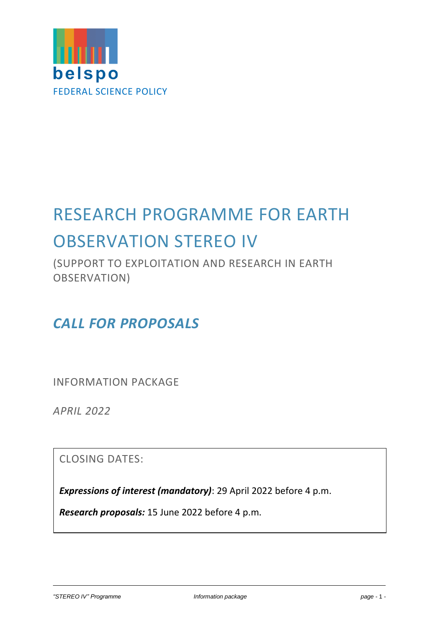

# RESEARCH PROGRAMME FOR EARTH OBSERVATION STEREO IV

(SUPPORT TO EXPLOITATION AND RESEARCH IN EARTH OBSERVATION)

# *CALL FOR PROPOSALS*

INFORMATION PACKAGE

*APRIL 2022*

CLOSING DATES:

*Expressions of interest (mandatory)*: 29 April 2022 before 4 p.m.

*Research proposals:* 15 June 2022 before 4 p.m.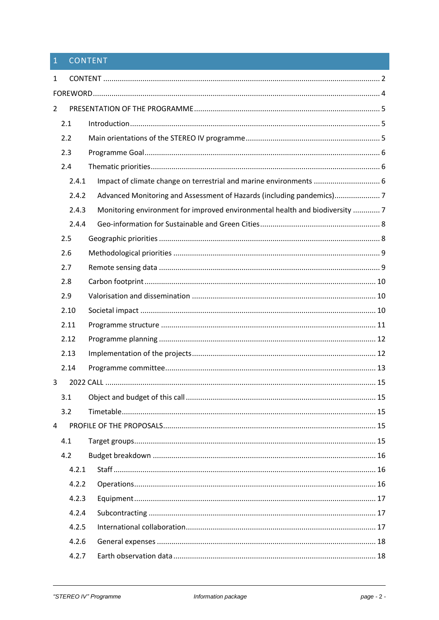# <span id="page-1-0"></span>CONTENT

| 1              |       |                                                                              |  |  |  |  |  |
|----------------|-------|------------------------------------------------------------------------------|--|--|--|--|--|
|                |       |                                                                              |  |  |  |  |  |
| $\overline{2}$ |       |                                                                              |  |  |  |  |  |
|                | 2.1   |                                                                              |  |  |  |  |  |
|                | 2.2   |                                                                              |  |  |  |  |  |
|                | 2.3   |                                                                              |  |  |  |  |  |
|                | 2.4   |                                                                              |  |  |  |  |  |
|                | 2.4.1 | Impact of climate change on terrestrial and marine environments  6           |  |  |  |  |  |
|                | 2.4.2 | Advanced Monitoring and Assessment of Hazards (including pandemics)7         |  |  |  |  |  |
|                | 2.4.3 | Monitoring environment for improved environmental health and biodiversity  7 |  |  |  |  |  |
|                | 2.4.4 |                                                                              |  |  |  |  |  |
|                | 2.5   |                                                                              |  |  |  |  |  |
|                | 2.6   |                                                                              |  |  |  |  |  |
|                | 2.7   |                                                                              |  |  |  |  |  |
|                | 2.8   |                                                                              |  |  |  |  |  |
|                | 2.9   |                                                                              |  |  |  |  |  |
|                | 2.10  |                                                                              |  |  |  |  |  |
|                | 2.11  |                                                                              |  |  |  |  |  |
|                | 2.12  |                                                                              |  |  |  |  |  |
|                | 2.13  |                                                                              |  |  |  |  |  |
|                | 2.14  |                                                                              |  |  |  |  |  |
| 3              |       |                                                                              |  |  |  |  |  |
|                | 3.1   |                                                                              |  |  |  |  |  |
|                | 3.2   |                                                                              |  |  |  |  |  |
| 4              |       |                                                                              |  |  |  |  |  |
|                | 4.1   |                                                                              |  |  |  |  |  |
|                | 4.2   |                                                                              |  |  |  |  |  |
|                | 4.2.1 |                                                                              |  |  |  |  |  |
|                | 4.2.2 |                                                                              |  |  |  |  |  |
|                | 4.2.3 |                                                                              |  |  |  |  |  |
|                | 4.2.4 |                                                                              |  |  |  |  |  |
|                | 4.2.5 |                                                                              |  |  |  |  |  |
|                | 4.2.6 |                                                                              |  |  |  |  |  |
|                | 4.2.7 |                                                                              |  |  |  |  |  |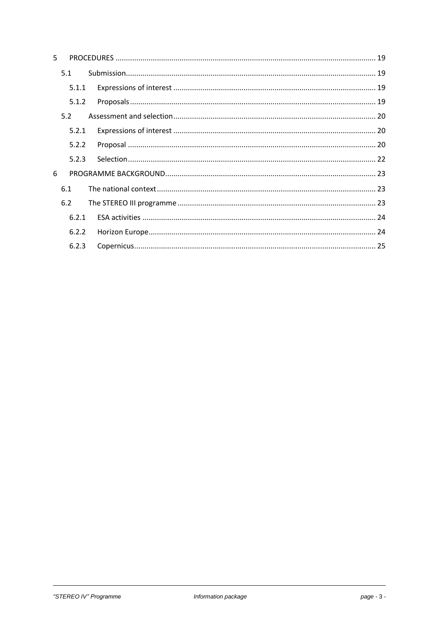| 5. |       |  |
|----|-------|--|
|    | 5.1   |  |
|    | 5.1.1 |  |
|    | 5.1.2 |  |
|    | 5.2   |  |
|    | 5.2.1 |  |
|    | 5.2.2 |  |
|    | 5.2.3 |  |
| 6  |       |  |
|    | 6.1   |  |
|    | 6.2   |  |
|    | 6.2.1 |  |
|    | 6.2.2 |  |
|    | 6.2.3 |  |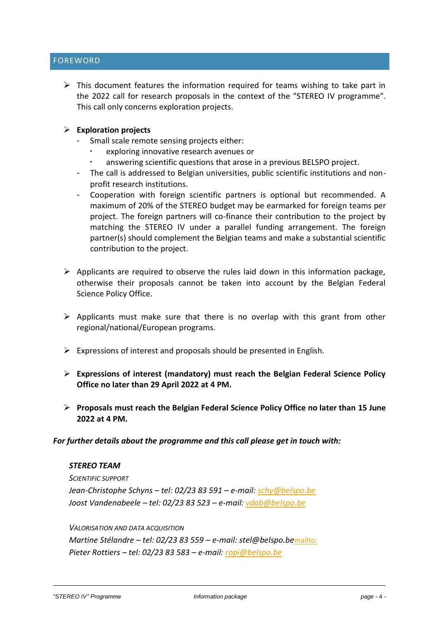# <span id="page-3-0"></span>FOREWORD

 $\triangleright$  This document features the information required for teams wishing to take part in the 2022 call for research proposals in the context of the "STEREO IV programme". This call only concerns exploration projects.

#### ➢ **Exploration projects**

- Small scale remote sensing projects either:
	- exploring innovative research avenues or
	- answering scientific questions that arose in a previous BELSPO project.
- The call is addressed to Belgian universities, public scientific institutions and nonprofit research institutions.
- Cooperation with foreign scientific partners is optional but recommended. A maximum of 20% of the STEREO budget may be earmarked for foreign teams per project. The foreign partners will co-finance their contribution to the project by matching the STEREO IV under a parallel funding arrangement. The foreign partner(s) should complement the Belgian teams and make a substantial scientific contribution to the project.
- $\triangleright$  Applicants are required to observe the rules laid down in this information package, otherwise their proposals cannot be taken into account by the Belgian Federal Science Policy Office.
- $\triangleright$  Applicants must make sure that there is no overlap with this grant from other regional/national/European programs.
- $\triangleright$  Expressions of interest and proposals should be presented in English.
- ➢ **Expressions of interest (mandatory) must reach the Belgian Federal Science Policy Office no later than 29 April 2022 at 4 PM.**
- ➢ **Proposals must reach the Belgian Federal Science Policy Office no later than 15 June 2022 at 4 PM.**

#### *For further details about the programme and this call please get in touch with:*

#### *STEREO TEAM*

*SCIENTIFIC SUPPORT Jean-Christophe Schyns – tel: 02/23 83 591 – e-mail: [schy@belspo.be](mailto:) Joost Vandenabeele – tel: 02/23 83 523 – e-mail: [vdab@belspo.be](mailto:vdab@belspo.be)*

*VALORISATION AND DATA ACQUISITION Martine Stélandre – tel: 02/23 83 559 – e-mail: stel@belspo.be*<mailto:> *Pieter Rottiers – tel: 02/23 83 583 – e-mail: [ropi@belspo.be](file:///C:/Documents%20and%20Settings/Users/admin/AppData/Local/Microsoft/Windows/Temporary%20Internet%20Files/Content.IE5/66PUFQ5H/ropi@belspo.be)*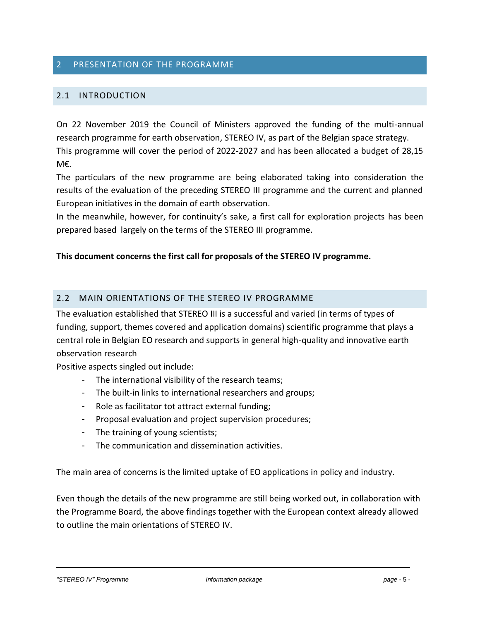# 2 PRESENTATION OF THE PROGRAMME

#### <span id="page-4-0"></span>2.1 INTRODUCTION

<span id="page-4-1"></span>On 22 November 2019 the Council of Ministers approved the funding of the multi-annual research programme for earth observation, STEREO IV, as part of the Belgian space strategy. This programme will cover the period of 2022-2027 and has been allocated a budget of 28,15 M€.

The particulars of the new programme are being elaborated taking into consideration the results of the evaluation of the preceding STEREO III programme and the current and planned European initiatives in the domain of earth observation.

In the meanwhile, however, for continuity's sake, a first call for exploration projects has been prepared based largely on the terms of the STEREO III programme.

#### **This document concerns the first call for proposals of the STEREO IV programme.**

#### 2.2 MAIN ORIENTATIONS OF THE STEREO IV PROGRAMME

<span id="page-4-2"></span>The evaluation established that STEREO III is a successful and varied (in terms of types of funding, support, themes covered and application domains) scientific programme that plays a central role in Belgian EO research and supports in general high-quality and innovative earth observation research

Positive aspects singled out include:

- The international visibility of the research teams;
- The built-in links to international researchers and groups;
- Role as facilitator tot attract external funding;
- Proposal evaluation and project supervision procedures;
- The training of young scientists;
- The communication and dissemination activities.

The main area of concerns is the limited uptake of EO applications in policy and industry.

Even though the details of the new programme are still being worked out, in collaboration with the Programme Board, the above findings together with the European context already allowed to outline the main orientations of STEREO IV.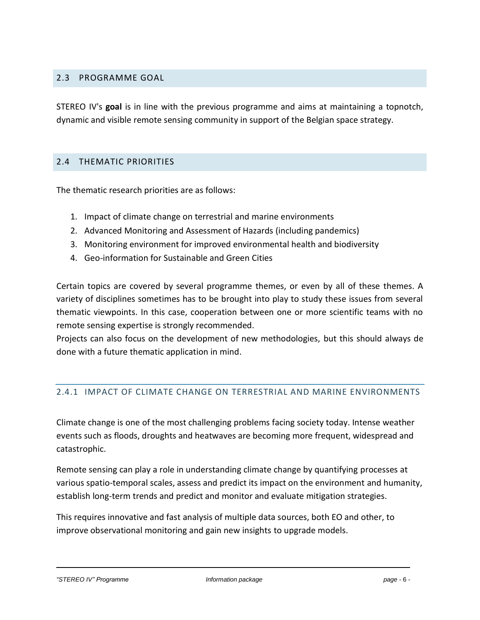# 2.3 PROGRAMME GOAL

<span id="page-5-0"></span>STEREO IV's **goal** is in line with the previous programme and aims at maintaining a topnotch, dynamic and visible remote sensing community in support of the Belgian space strategy.

#### 2.4 THEMATIC PRIORITIES

<span id="page-5-1"></span>The thematic research priorities are as follows:

- 1. Impact of climate change on terrestrial and marine environments
- 2. Advanced Monitoring and Assessment of Hazards (including pandemics)
- 3. Monitoring environment for improved environmental health and biodiversity
- 4. Geo-information for Sustainable and Green Cities

Certain topics are covered by several programme themes, or even by all of these themes. A variety of disciplines sometimes has to be brought into play to study these issues from several thematic viewpoints. In this case, cooperation between one or more scientific teams with no remote sensing expertise is strongly recommended.

Projects can also focus on the development of new methodologies, but this should always de done with a future thematic application in mind.

#### 2.4.1 IMPACT OF CLIMATE CHANGE ON TERRESTRIAL AND MARINE ENVIRONMENTS

<span id="page-5-2"></span>Climate change is one of the most challenging problems facing society today. Intense weather events such as floods, droughts and heatwaves are becoming more frequent, widespread and catastrophic.

Remote sensing can play a role in understanding climate change by quantifying processes at various spatio-temporal scales, assess and predict its impact on the environment and humanity, establish long-term trends and predict and monitor and evaluate mitigation strategies.

This requires innovative and fast analysis of multiple data sources, both EO and other, to improve observational monitoring and gain new insights to upgrade models.

*"STEREO IV" Programme Information package page -* 6 *-*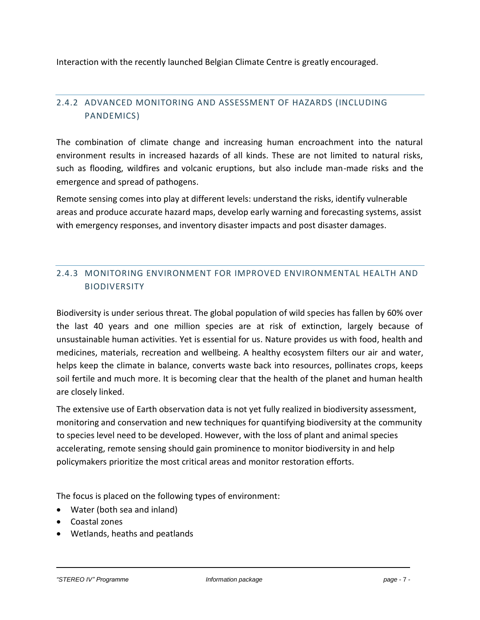Interaction with the recently launched Belgian Climate Centre is greatly encouraged.

# 2.4.2 ADVANCED MONITORING AND ASSESSMENT OF HAZARDS (INCLUDING PANDEMICS)

<span id="page-6-0"></span>The combination of climate change and increasing human encroachment into the natural environment results in increased hazards of all kinds. These are not limited to natural risks, such as flooding, wildfires and volcanic eruptions, but also include man-made risks and the emergence and spread of pathogens.

Remote sensing comes into play at different levels: understand the risks, identify vulnerable areas and produce accurate hazard maps, develop early warning and forecasting systems, assist with emergency responses, and inventory disaster impacts and post disaster damages.

# 2.4.3 MONITORING ENVIRONMENT FOR IMPROVED ENVIRONMENTAL HEALTH AND BIODIVERSITY

<span id="page-6-1"></span>Biodiversity is under serious threat. The global population of wild species has fallen by 60% over the last 40 years and one million species are at risk of extinction, largely because of unsustainable human activities. Yet is essential for us. Nature provides us with food, health and medicines, materials, recreation and wellbeing. A healthy ecosystem filters our air and water, helps keep the climate in balance, converts waste back into resources, pollinates crops, keeps soil fertile and much more. It is becoming clear that the health of the planet and human health are closely linked.

The extensive use of Earth observation data is not yet fully realized in biodiversity assessment, monitoring and conservation and new techniques for quantifying biodiversity at the community to species level need to be developed. However, with the loss of plant and animal species accelerating, remote sensing should gain prominence to monitor biodiversity in and help policymakers prioritize the most critical areas and monitor restoration efforts.

The focus is placed on the following types of environment:

- Water (both sea and inland)
- Coastal zones
- Wetlands, heaths and peatlands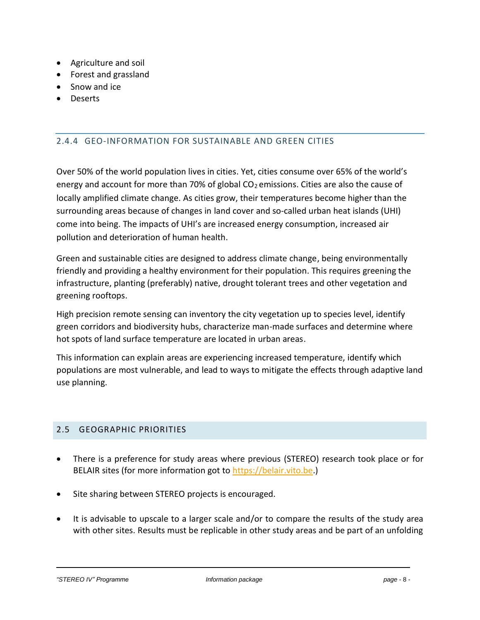- Agriculture and soil
- Forest and grassland
- Snow and ice
- Deserts

# 2.4.4 GEO-INFORMATION FOR SUSTAINABLE AND GREEN CITIES

<span id="page-7-0"></span>Over 50% of the world population lives in cities. Yet, cities consume over 65% of the world's energy and account for more than 70% of global  $CO<sub>2</sub>$  emissions. Cities are also the cause of locally amplified climate change. As cities grow, their temperatures become higher than the surrounding areas because of changes in land cover and so-called urban heat islands (UHI) come into being. The impacts of UHI's are increased energy consumption, increased air pollution and deterioration of human health.

Green and sustainable cities are designed to address climate change, being environmentally friendly and providing a healthy environment for their population. This requires greening the infrastructure, planting (preferably) native, drought tolerant trees and other vegetation and greening rooftops.

High precision remote sensing can inventory the city vegetation up to species level, identify green corridors and biodiversity hubs, characterize man-made surfaces and determine where hot spots of land surface temperature are located in urban areas.

This information can explain areas are experiencing increased temperature, identify which populations are most vulnerable, and lead to ways to mitigate the effects through adaptive land use planning.

#### 2.5 GEOGRAPHIC PRIORITIES

- <span id="page-7-1"></span>• There is a preference for study areas where previous (STEREO) research took place or for BELAIR sites (for more information got to [https://belair.vito.be.](https://belair.vito.be/))
- Site sharing between STEREO projects is encouraged.
- It is advisable to upscale to a larger scale and/or to compare the results of the study area with other sites. Results must be replicable in other study areas and be part of an unfolding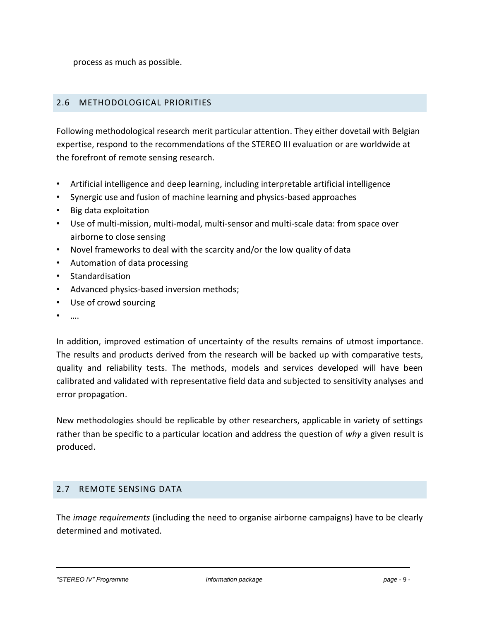process as much as possible.

# 2.6 METHODOLOGICAL PRIORITIES

<span id="page-8-0"></span>Following methodological research merit particular attention. They either dovetail with Belgian expertise, respond to the recommendations of the STEREO III evaluation or are worldwide at the forefront of remote sensing research.

- Artificial intelligence and deep learning, including interpretable artificial intelligence
- Synergic use and fusion of machine learning and physics-based approaches
- Big data exploitation
- Use of multi-mission, multi-modal, multi-sensor and multi-scale data: from space over airborne to close sensing
- Novel frameworks to deal with the scarcity and/or the low quality of data
- Automation of data processing
- **Standardisation**
- Advanced physics-based inversion methods;
- Use of crowd sourcing
- ….

In addition, improved estimation of uncertainty of the results remains of utmost importance. The results and products derived from the research will be backed up with comparative tests, quality and reliability tests. The methods, models and services developed will have been calibrated and validated with representative field data and subjected to sensitivity analyses and error propagation.

New methodologies should be replicable by other researchers, applicable in variety of settings rather than be specific to a particular location and address the question of *why* a given result is produced.

#### 2.7 REMOTE SENSING DATA

<span id="page-8-1"></span>The *image requirements* (including the need to organise airborne campaigns) have to be clearly determined and motivated.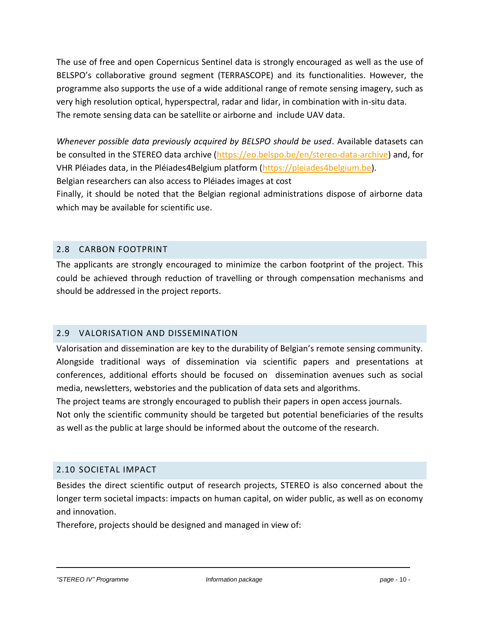The use of free and open Copernicus Sentinel data is strongly encouraged as well as the use of BELSPO's collaborative ground segment (TERRASCOPE) and its functionalities. However, the programme also supports the use of a wide additional range of remote sensing imagery, such as very high resolution optical, hyperspectral, radar and lidar, in combination with in-situ data. The remote sensing data can be satellite or airborne and include UAV data.

*Whenever possible data previously acquired by BELSPO should be used*. Available datasets can be consulted in the STEREO data archive [\(https://eo.belspo.be/en/stereo-data-archive\)](https://eo.belspo.be/en/stereo-data-archive) and, for VHR Pléiades data, in the Pléiades4Belgium platform [\(https://pleiades4belgium.be\)](https://pleiades4belgium.be/).

Belgian researchers can also access to Pléiades images at cost

Finally, it should be noted that the Belgian regional administrations dispose of airborne data which may be available for scientific use.

# 2.8 CARBON FOOTPRINT

<span id="page-9-0"></span>The applicants are strongly encouraged to minimize the carbon footprint of the project. This could be achieved through reduction of travelling or through compensation mechanisms and should be addressed in the project reports.

# 2.9 VALORISATION AND DISSEMINATION

<span id="page-9-1"></span>Valorisation and dissemination are key to the durability of Belgian's remote sensing community. Alongside traditional ways of dissemination via scientific papers and presentations at conferences, additional efforts should be focused on dissemination avenues such as social media, newsletters, webstories and the publication of data sets and algorithms.

The project teams are strongly encouraged to publish their papers in open access journals.

Not only the scientific community should be targeted but potential beneficiaries of the results as well as the public at large should be informed about the outcome of the research.

# 2.10 SOCIETAL IMPACT

Besides the direct scientific output of research projects, STEREO is also concerned about the longer term societal impacts: impacts on human capital, on wider public, as well as on economy and innovation.

<span id="page-9-2"></span>Therefore, projects should be designed and managed in view of: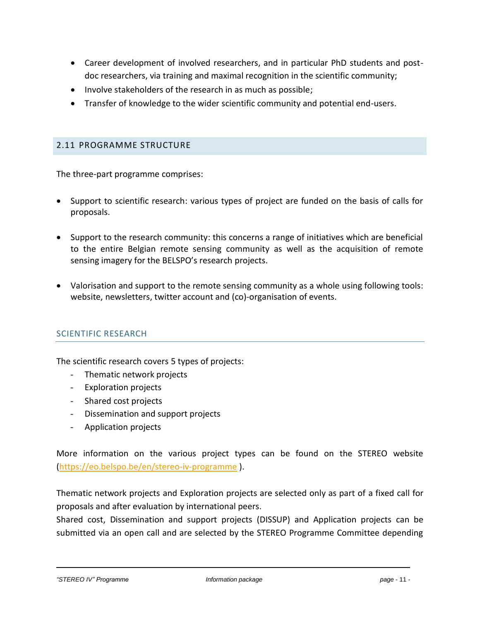- Career development of involved researchers, and in particular PhD students and postdoc researchers, via training and maximal recognition in the scientific community;
- Involve stakeholders of the research in as much as possible;
- Transfer of knowledge to the wider scientific community and potential end-users.

#### 2.11 PROGRAMME STRUCTURE

<span id="page-10-0"></span>The three-part programme comprises:

- Support to scientific research: various types of project are funded on the basis of calls for proposals.
- Support to the research community: this concerns a range of initiatives which are beneficial to the entire Belgian remote sensing community as well as the acquisition of remote sensing imagery for the BELSPO's research projects.
- Valorisation and support to the remote sensing community as a whole using following tools: website, newsletters, twitter account and (co)-organisation of events.

# SCIENTIFIC RESEARCH

The scientific research covers 5 types of projects:

- Thematic network projects
- Exploration projects
- Shared cost projects
- Dissemination and support projects
- Application projects

More information on the various project types can be found on the STEREO website [\(https://eo.belspo.be/en/stereo-iv-programme](https://eur05.safelinks.protection.outlook.com/?url=https%3A%2F%2Feo.belspo.be%2Fen%2Fstereo-iv-programme&data=04%7C01%7CJoost.VANDENABEELE%40belspo.be%7C1258d028189742068ded08da1315d98f%7Ca6908601ea9648359a77aca726620d1a%7C0%7C0%7C637843281809979694%7CUnknown%7CTWFpbGZsb3d8eyJWIjoiMC4wLjAwMDAiLCJQIjoiV2luMzIiLCJBTiI6Ik1haWwiLCJXVCI6Mn0%3D%7C3000&sdata=GPYxGyzrTMTHhxrpTCcAgZ4VxygPC1mHMGZdAIup%2BLs%3D&reserved=0) ).

Thematic network projects and Exploration projects are selected only as part of a fixed call for proposals and after evaluation by international peers.

Shared cost, Dissemination and support projects (DISSUP) and Application projects can be submitted via an open call and are selected by the STEREO Programme Committee depending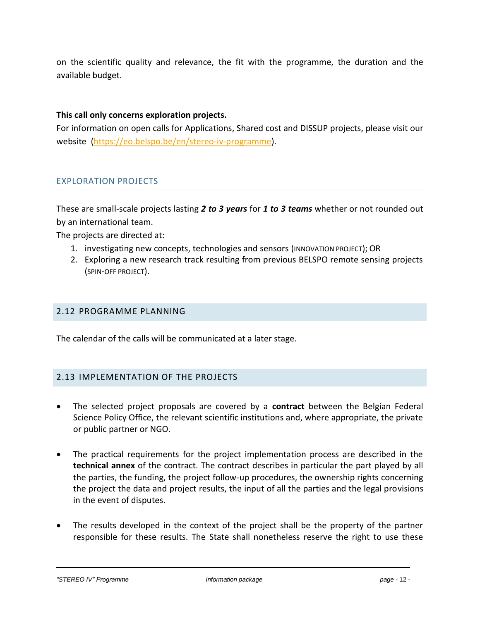on the scientific quality and relevance, the fit with the programme, the duration and the available budget.

#### **This call only concerns exploration projects.**

For information on open calls for Applications, Shared cost and DISSUP projects, please visit our website [\(https://eo.belspo.be/en/stereo-iv-programme\)](https://eo.belspo.be/en/stereo-iv-programme).

#### EXPLORATION PROJECTS

These are small-scale projects lasting *2 to 3 years* for *1 to 3 teams* whether or not rounded out by an international team.

The projects are directed at:

- 1. investigating new concepts, technologies and sensors (INNOVATION PROJECT); OR
- 2. Exploring a new research track resulting from previous BELSPO remote sensing projects (SPIN-OFF PROJECT).

#### 2.12 PROGRAMME PLANNING

<span id="page-11-0"></span>The calendar of the calls will be communicated at a later stage.

#### 2.13 IMPLEMENTATION OF THE PROJECTS

- <span id="page-11-1"></span>• The selected project proposals are covered by a **contract** between the Belgian Federal Science Policy Office, the relevant scientific institutions and, where appropriate, the private or public partner or NGO.
- The practical requirements for the project implementation process are described in the **technical annex** of the contract. The contract describes in particular the part played by all the parties, the funding, the project follow-up procedures, the ownership rights concerning the project the data and project results, the input of all the parties and the legal provisions in the event of disputes.
- The results developed in the context of the project shall be the property of the partner responsible for these results. The State shall nonetheless reserve the right to use these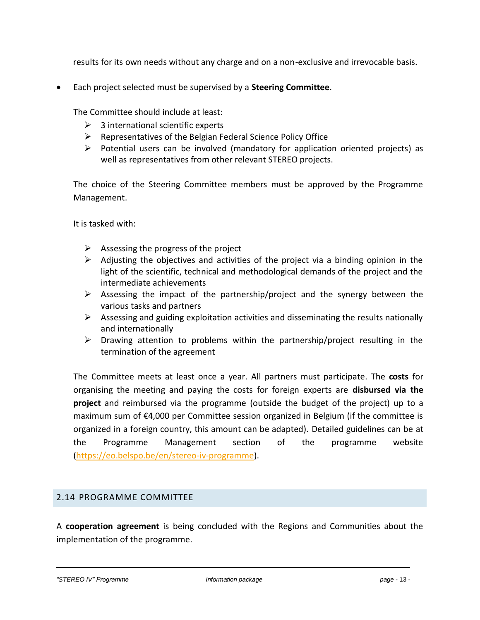results for its own needs without any charge and on a non-exclusive and irrevocable basis.

• Each project selected must be supervised by a **Steering Committee**.

The Committee should include at least:

- $\geq$  3 international scientific experts
- $\triangleright$  Representatives of the Belgian Federal Science Policy Office
- ➢ Potential users can be involved (mandatory for application oriented projects) as well as representatives from other relevant STEREO projects.

The choice of the Steering Committee members must be approved by the Programme Management.

It is tasked with:

- $\triangleright$  Assessing the progress of the project
- $\triangleright$  Adjusting the objectives and activities of the project via a binding opinion in the light of the scientific, technical and methodological demands of the project and the intermediate achievements
- $\triangleright$  Assessing the impact of the partnership/project and the synergy between the various tasks and partners
- $\triangleright$  Assessing and guiding exploitation activities and disseminating the results nationally and internationally
- $\triangleright$  Drawing attention to problems within the partnership/project resulting in the termination of the agreement

The Committee meets at least once a year. All partners must participate. The **costs** for organising the meeting and paying the costs for foreign experts are **disbursed via the project** and reimbursed via the programme (outside the budget of the project) up to a maximum sum of €4,000 per Committee session organized in Belgium (if the committee is organized in a foreign country, this amount can be adapted). Detailed guidelines can be at the Programme Management section of the programme website [\(https://eo.belspo.be/en/stereo-iv-programme\)](https://eur05.safelinks.protection.outlook.com/?url=https%3A%2F%2Feo.belspo.be%2Fen%2Fstereo-iv-programme&data=04%7C01%7CJoost.VANDENABEELE%40belspo.be%7C1258d028189742068ded08da1315d98f%7Ca6908601ea9648359a77aca726620d1a%7C0%7C0%7C637843281809979694%7CUnknown%7CTWFpbGZsb3d8eyJWIjoiMC4wLjAwMDAiLCJQIjoiV2luMzIiLCJBTiI6Ik1haWwiLCJXVCI6Mn0%3D%7C3000&sdata=GPYxGyzrTMTHhxrpTCcAgZ4VxygPC1mHMGZdAIup%2BLs%3D&reserved=0).

# 2.14 PROGRAMME COMMITTEE

<span id="page-12-0"></span>A **cooperation agreement** is being concluded with the Regions and Communities about the implementation of the programme.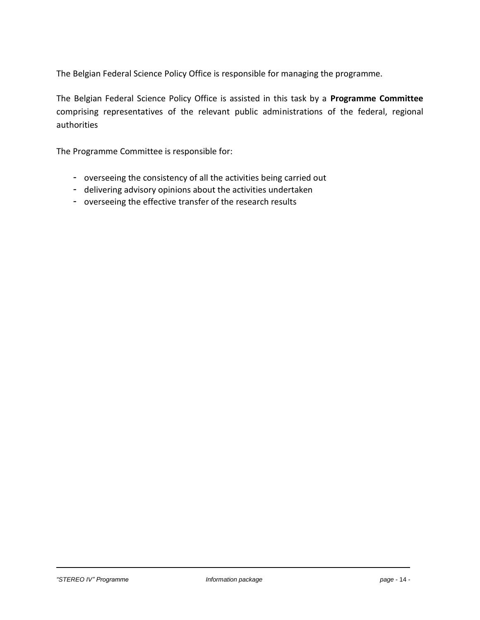The Belgian Federal Science Policy Office is responsible for managing the programme.

The Belgian Federal Science Policy Office is assisted in this task by a **Programme Committee** comprising representatives of the relevant public administrations of the federal, regional authorities

The Programme Committee is responsible for:

- overseeing the consistency of all the activities being carried out
- delivering advisory opinions about the activities undertaken
- overseeing the effective transfer of the research results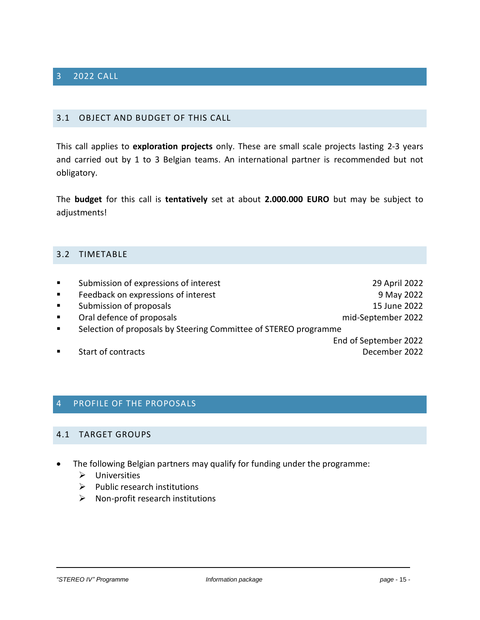# 3 2022 CALL

#### <span id="page-14-0"></span>3.1 OBJECT AND BUDGET OF THIS CALL

<span id="page-14-1"></span>This call applies to **exploration projects** only. These are small scale projects lasting 2-3 years and carried out by 1 to 3 Belgian teams. An international partner is recommended but not obligatory.

The **budget** for this call is **tentatively** set at about **2.000.000 EURO** but may be subject to adjustments!

#### 3.2 TIMETABLE

<span id="page-14-2"></span>

| $\blacksquare$ | Submission of expressions of interest                            | 29 April 2022         |  |
|----------------|------------------------------------------------------------------|-----------------------|--|
| $\blacksquare$ | Feedback on expressions of interest                              | 9 May 2022            |  |
| $\blacksquare$ | Submission of proposals                                          | 15 June 2022          |  |
| $\blacksquare$ | Oral defence of proposals                                        | mid-September 2022    |  |
| $\blacksquare$ | Selection of proposals by Steering Committee of STEREO programme |                       |  |
|                |                                                                  | End of September 2022 |  |
| $\blacksquare$ | Start of contracts                                               | December 2022         |  |

#### 4 PROFILE OF THE PROPOSALS

#### <span id="page-14-3"></span>4.1 TARGET GROUPS

- <span id="page-14-4"></span>• The following Belgian partners may qualify for funding under the programme:
	- ➢ Universities
	- ➢ Public research institutions
	- $\triangleright$  Non-profit research institutions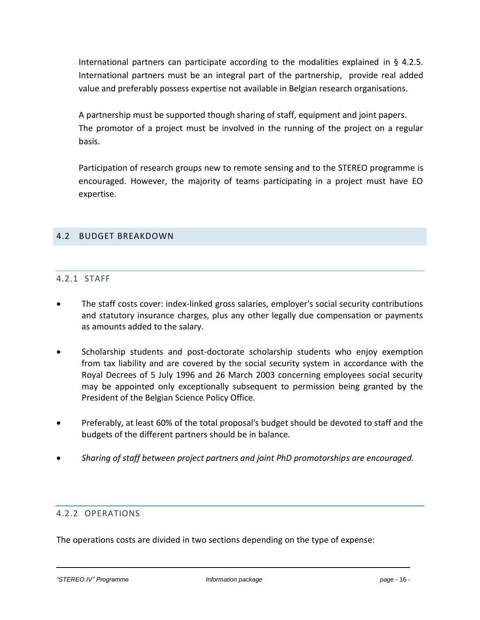International partners can participate according to the modalities explained in § 4.2.5. International partners must be an integral part of the partnership, provide real added value and preferably possess expertise not available in Belgian research organisations.

A partnership must be supported though sharing of staff, equipment and joint papers. The promotor of a project must be involved in the running of the project on a regular basis.

Participation of research groups new to remote sensing and to the STEREO programme is encouraged. However, the majority of teams participating in a project must have EO expertise.

# 4.2 BUDGET BREAKDOWN

# <span id="page-15-0"></span>4.2.1 STAFF

- <span id="page-15-1"></span>• The staff costs cover: index-linked gross salaries, employer's social security contributions and statutory insurance charges, plus any other legally due compensation or payments as amounts added to the salary.
- Scholarship students and post-doctorate scholarship students who enjoy exemption from tax liability and are covered by the social security system in accordance with the Royal Decrees of 5 July 1996 and 26 March 2003 concerning employees social security may be appointed only exceptionally subsequent to permission being granted by the President of the Belgian Science Policy Office.
- Preferably, at least 60% of the total proposal's budget should be devoted to staff and the budgets of the different partners should be in balance.
- *Sharing of staff between project partners and joint PhD promotorships are encouraged.*

# 4.2.2 OPERATIONS

<span id="page-15-2"></span>The operations costs are divided in two sections depending on the type of expense: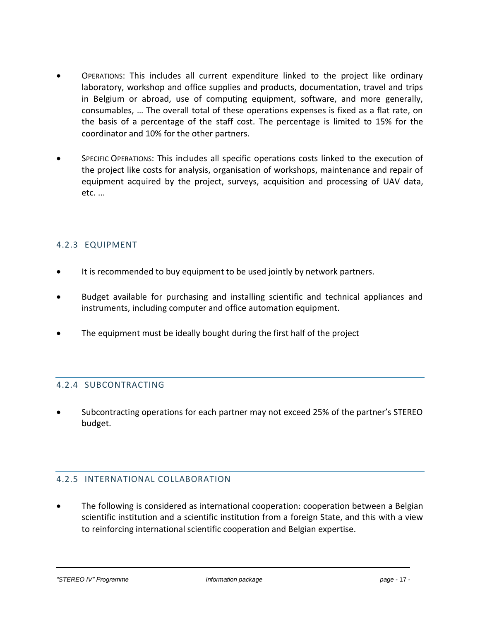- OPERATIONS: This includes all current expenditure linked to the project like ordinary laboratory, workshop and office supplies and products, documentation, travel and trips in Belgium or abroad, use of computing equipment, software, and more generally, consumables, … The overall total of these operations expenses is fixed as a flat rate, on the basis of a percentage of the staff cost. The percentage is limited to 15% for the coordinator and 10% for the other partners.
- SPECIFIC OPERATIONS: This includes all specific operations costs linked to the execution of the project like costs for analysis, organisation of workshops, maintenance and repair of equipment acquired by the project, surveys, acquisition and processing of UAV data, etc. ...

# 4.2.3 EQUIPMENT

- <span id="page-16-0"></span>• It is recommended to buy equipment to be used jointly by network partners.
- Budget available for purchasing and installing scientific and technical appliances and instruments, including computer and office automation equipment.
- The equipment must be ideally bought during the first half of the project

# 4.2.4 SUBCONTRACTING

<span id="page-16-1"></span>• Subcontracting operations for each partner may not exceed 25% of the partner's STEREO budget.

#### 4.2.5 INTERNATIONAL COLLABORATION

<span id="page-16-2"></span>• The following is considered as international cooperation: cooperation between a Belgian scientific institution and a scientific institution from a foreign State, and this with a view to reinforcing international scientific cooperation and Belgian expertise.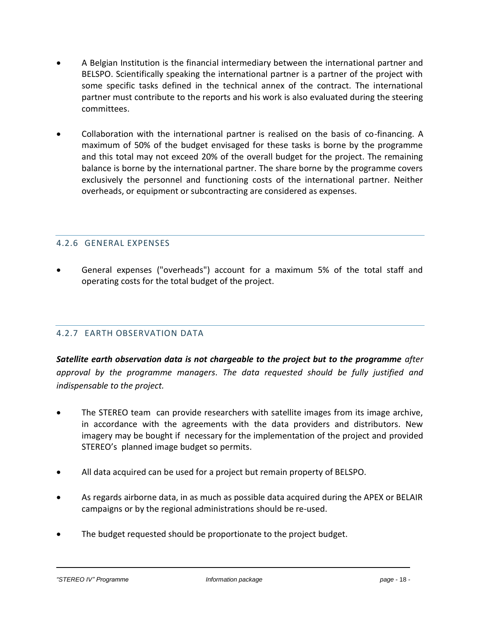- A Belgian Institution is the financial intermediary between the international partner and BELSPO. Scientifically speaking the international partner is a partner of the project with some specific tasks defined in the technical annex of the contract. The international partner must contribute to the reports and his work is also evaluated during the steering committees.
- Collaboration with the international partner is realised on the basis of co-financing. A maximum of 50% of the budget envisaged for these tasks is borne by the programme and this total may not exceed 20% of the overall budget for the project. The remaining balance is borne by the international partner. The share borne by the programme covers exclusively the personnel and functioning costs of the international partner. Neither overheads, or equipment or subcontracting are considered as expenses.

# 4.2.6 GENERAL EXPENSES

<span id="page-17-0"></span>• General expenses ("overheads") account for a maximum 5% of the total staff and operating costs for the total budget of the project.

# 4.2.7 EARTH OBSERVATION DATA

<span id="page-17-1"></span>*Satellite earth observation data is not chargeable to the project but to the programme after approval by the programme managers*. *The data requested should be fully justified and indispensable to the project.*

- The STEREO team can provide researchers with satellite images from its image archive, in accordance with the agreements with the data providers and distributors. New imagery may be bought if necessary for the implementation of the project and provided STEREO's planned image budget so permits.
- All data acquired can be used for a project but remain property of BELSPO.
- As regards airborne data, in as much as possible data acquired during the APEX or BELAIR campaigns or by the regional administrations should be re-used.
- The budget requested should be proportionate to the project budget.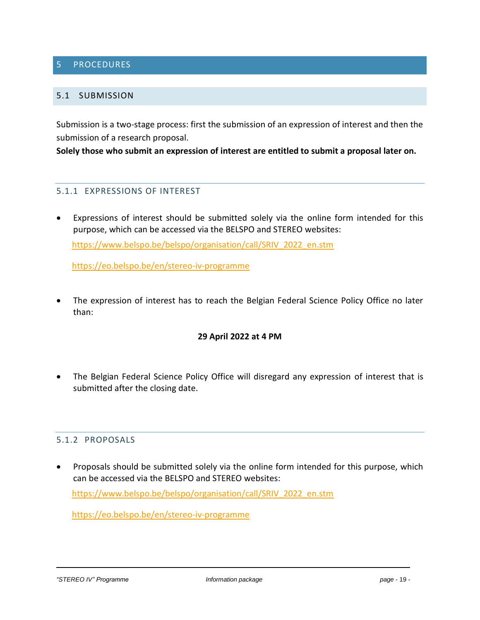# 5 PROCEDURES

#### <span id="page-18-0"></span>5.1 SUBMISSION

<span id="page-18-1"></span>Submission is a two-stage process: first the submission of an expression of interest and then the submission of a research proposal.

**Solely those who submit an expression of interest are entitled to submit a proposal later on.**

#### 5.1.1 EXPRESSIONS OF INTEREST

<span id="page-18-2"></span>Expressions of interest should be submitted solely via the online form intended for this purpose, which can be accessed via the BELSPO and STEREO websites: [https://www.belspo.be/belspo/organisation/call/SRIV\\_2022\\_en.stm](https://eur05.safelinks.protection.outlook.com/?url=https%3A%2F%2Fwww.belspo.be%2Fbelspo%2Forganisation%2Fcall%2FSRIV_2022_en.stm&data=04%7C01%7CJoost.VANDENABEELE%40belspo.be%7Ca08ae1061aff406cd8a408da066e5ebe%7Ca6908601ea9648359a77aca726620d1a%7C0%7C0%7C637829368340442819%7CUnknown%7CTWFpbGZsb3d8eyJWIjoiMC4wLjAwMDAiLCJQIjoiV2luMzIiLCJBTiI6Ik1haWwiLCJXVCI6Mn0%3D%7C3000&sdata=0ceK%2FSkgQhSuL151jtRdX1B89vmHZQSzC6JMfzBNDz4%3D&reserved=0)

[https://eo.belspo.be/en/stereo-iv-programme](https://eur05.safelinks.protection.outlook.com/?url=https%3A%2F%2Feo.belspo.be%2Fen%2Fstereo-iv-programme&data=04%7C01%7CJoost.VANDENABEELE%40belspo.be%7C1258d028189742068ded08da1315d98f%7Ca6908601ea9648359a77aca726620d1a%7C0%7C0%7C637843281809979694%7CUnknown%7CTWFpbGZsb3d8eyJWIjoiMC4wLjAwMDAiLCJQIjoiV2luMzIiLCJBTiI6Ik1haWwiLCJXVCI6Mn0%3D%7C3000&sdata=GPYxGyzrTMTHhxrpTCcAgZ4VxygPC1mHMGZdAIup%2BLs%3D&reserved=0)

The expression of interest has to reach the Belgian Federal Science Policy Office no later than:

#### **29 April 2022 at 4 PM**

• The Belgian Federal Science Policy Office will disregard any expression of interest that is submitted after the closing date.

#### 5.1.2 PROPOSALS

<span id="page-18-3"></span>• Proposals should be submitted solely via the online form intended for this purpose, which can be accessed via the BELSPO and STEREO websites:

[https://www.belspo.be/belspo/organisation/call/SRIV\\_2022\\_en.stm](https://eur05.safelinks.protection.outlook.com/?url=https%3A%2F%2Fwww.belspo.be%2Fbelspo%2Forganisation%2Fcall%2FSRIV_2022_en.stm&data=04%7C01%7CJoost.VANDENABEELE%40belspo.be%7Ca08ae1061aff406cd8a408da066e5ebe%7Ca6908601ea9648359a77aca726620d1a%7C0%7C0%7C637829368340442819%7CUnknown%7CTWFpbGZsb3d8eyJWIjoiMC4wLjAwMDAiLCJQIjoiV2luMzIiLCJBTiI6Ik1haWwiLCJXVCI6Mn0%3D%7C3000&sdata=0ceK%2FSkgQhSuL151jtRdX1B89vmHZQSzC6JMfzBNDz4%3D&reserved=0)

[https://eo.belspo.be/en/stereo-iv-programme](https://eur05.safelinks.protection.outlook.com/?url=https%3A%2F%2Feo.belspo.be%2Fen%2Fstereo-iv-programme&data=04%7C01%7CJoost.VANDENABEELE%40belspo.be%7C1258d028189742068ded08da1315d98f%7Ca6908601ea9648359a77aca726620d1a%7C0%7C0%7C637843281809979694%7CUnknown%7CTWFpbGZsb3d8eyJWIjoiMC4wLjAwMDAiLCJQIjoiV2luMzIiLCJBTiI6Ik1haWwiLCJXVCI6Mn0%3D%7C3000&sdata=GPYxGyzrTMTHhxrpTCcAgZ4VxygPC1mHMGZdAIup%2BLs%3D&reserved=0)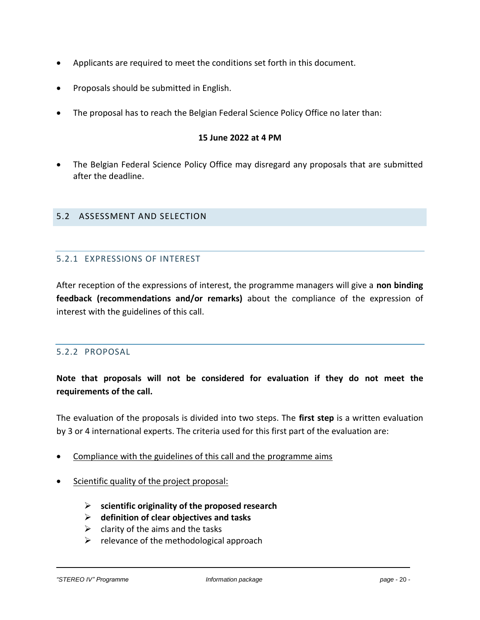- Applicants are required to meet the conditions set forth in this document.
- Proposals should be submitted in English.
- The proposal has to reach the Belgian Federal Science Policy Office no later than:

#### **15 June 2022 at 4 PM**

• The Belgian Federal Science Policy Office may disregard any proposals that are submitted after the deadline.

#### 5.2 ASSESSMENT AND SELECTION

# <span id="page-19-0"></span>5.2.1 EXPRESSIONS OF INTEREST

<span id="page-19-1"></span>After reception of the expressions of interest, the programme managers will give a **non binding feedback (recommendations and/or remarks)** about the compliance of the expression of interest with the guidelines of this call.

#### 5.2.2 PROPOSAL

# <span id="page-19-2"></span>**Note that proposals will not be considered for evaluation if they do not meet the requirements of the call.**

The evaluation of the proposals is divided into two steps. The **first step** is a written evaluation by 3 or 4 international experts. The criteria used for this first part of the evaluation are:

- Compliance with the guidelines of this call and the programme aims
- Scientific quality of the project proposal:
	- ➢ **scientific originality of the proposed research**
	- ➢ **definition of clear objectives and tasks**
	- $\triangleright$  clarity of the aims and the tasks
	- $\triangleright$  relevance of the methodological approach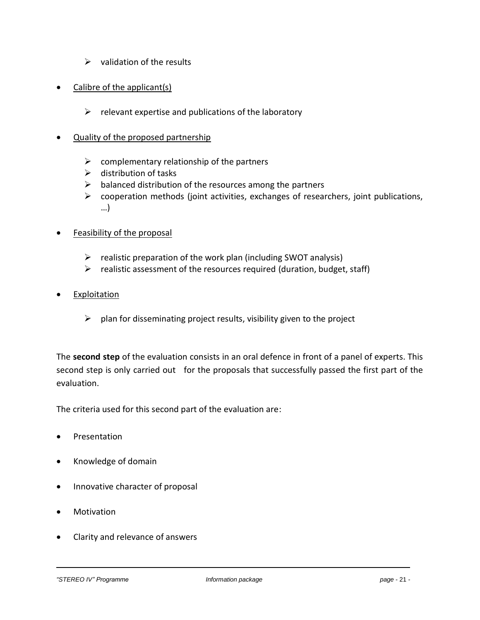- $\triangleright$  validation of the results
- Calibre of the applicant(s)
	- $\triangleright$  relevant expertise and publications of the laboratory
- Quality of the proposed partnership
	- $\triangleright$  complementary relationship of the partners
	- $\triangleright$  distribution of tasks
	- $\triangleright$  balanced distribution of the resources among the partners
	- $\triangleright$  cooperation methods (joint activities, exchanges of researchers, joint publications, …)
- Feasibility of the proposal
	- $\triangleright$  realistic preparation of the work plan (including SWOT analysis)
	- $\triangleright$  realistic assessment of the resources required (duration, budget, staff)
- **Exploitation** 
	- $\triangleright$  plan for disseminating project results, visibility given to the project

The **second step** of the evaluation consists in an oral defence in front of a panel of experts. This second step is only carried out for the proposals that successfully passed the first part of the evaluation.

The criteria used for this second part of the evaluation are:

- Presentation
- Knowledge of domain
- Innovative character of proposal
- Motivation
- Clarity and relevance of answers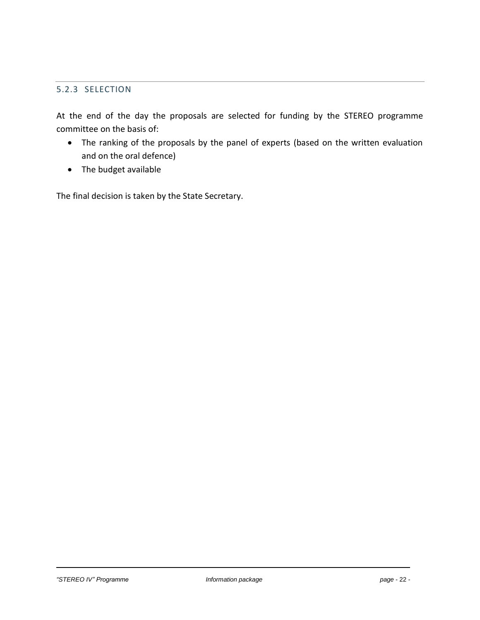# 5.2.3 SELECTION

<span id="page-21-0"></span>At the end of the day the proposals are selected for funding by the STEREO programme committee on the basis of:

- The ranking of the proposals by the panel of experts (based on the written evaluation and on the oral defence)
- The budget available

The final decision is taken by the State Secretary.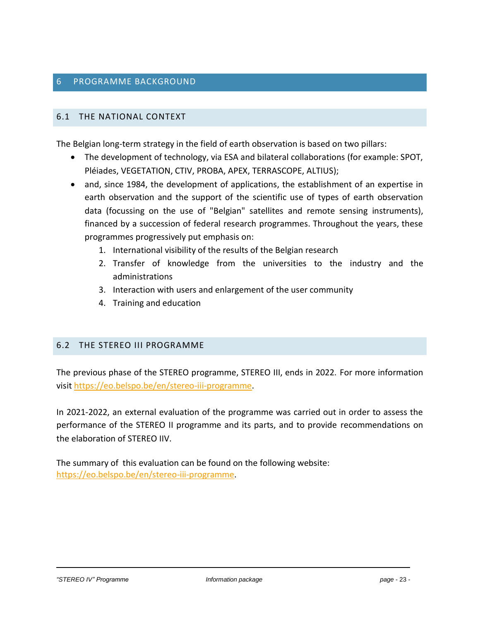# <span id="page-22-0"></span>6.1 THE NATIONAL CONTEXT

<span id="page-22-1"></span>The Belgian long-term strategy in the field of earth observation is based on two pillars:

- The development of technology, via ESA and bilateral collaborations (for example: SPOT, Pléiades, VEGETATION, CTIV, PROBA, APEX, TERRASCOPE, ALTIUS);
- and, since 1984, the development of applications, the establishment of an expertise in earth observation and the support of the scientific use of types of earth observation data (focussing on the use of "Belgian" satellites and remote sensing instruments), financed by a succession of federal research programmes. Throughout the years, these programmes progressively put emphasis on:
	- 1. International visibility of the results of the Belgian research
	- 2. Transfer of knowledge from the universities to the industry and the administrations
	- 3. Interaction with users and enlargement of the user community
	- 4. Training and education

#### 6.2 THE STEREO III PROGRAMME

<span id="page-22-2"></span>The previous phase of the STEREO programme, STEREO III, ends in 2022. For more information visit [https://eo.belspo.be/en/stereo-iii-programme.](https://eo.belspo.be/en/stereo-iii-programme)

In 2021-2022, an external evaluation of the programme was carried out in order to assess the performance of the STEREO II programme and its parts, and to provide recommendations on the elaboration of STEREO IIV.

The summary of this evaluation can be found on the following website: [https://eo.belspo.be/en/stereo-iii-programme.](https://eo.belspo.be/en/stereo-iii-programme)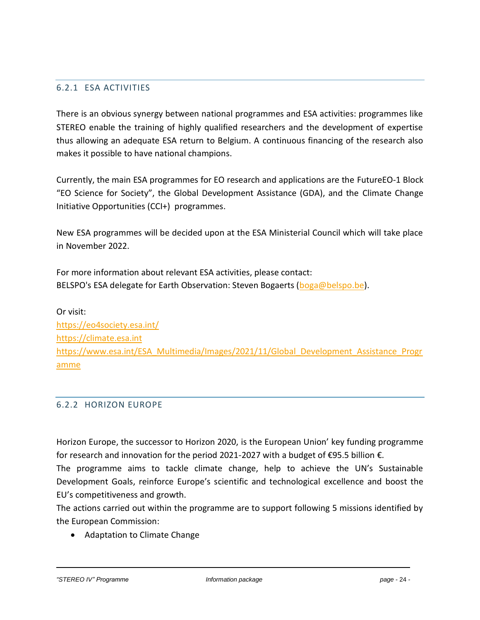# 6.2.1 ESA ACTIVITIES

<span id="page-23-0"></span>There is an obvious synergy between national programmes and ESA activities: programmes like STEREO enable the training of highly qualified researchers and the development of expertise thus allowing an adequate ESA return to Belgium. A continuous financing of the research also makes it possible to have national champions.

Currently, the main ESA programmes for EO research and applications are the FutureEO-1 Block "EO Science for Society", the Global Development Assistance (GDA), and the Climate Change Initiative Opportunities (CCI+) programmes.

New ESA programmes will be decided upon at the ESA Ministerial Council which will take place in November 2022.

For more information about relevant ESA activities, please contact: BELSPO's ESA delegate for Earth Observation: Steven Bogaerts ( $boga@belspo.be$ ).

Or visit: <https://eo4society.esa.int/> [https://climate.esa.int](https://climate.esa.int/) [https://www.esa.int/ESA\\_Multimedia/Images/2021/11/Global\\_Development\\_Assistance\\_Progr](https://www.esa.int/ESA_Multimedia/Images/2021/11/Global_Development_Assistance_Programme) [amme](https://www.esa.int/ESA_Multimedia/Images/2021/11/Global_Development_Assistance_Programme)

#### 6.2.2 HORIZON EUROPE

<span id="page-23-1"></span>Horizon Europe, the successor to Horizon 2020, is the European Union' key funding programme for research and innovation for the period 2021-2027 with a [budget of €95.5 billion](https://op.europa.eu/en/publication-detail/-/publication/1f107d76-acbe-11eb-9767-01aa75ed71a1) €.

The programme aims to tackle climate change, help to achieve the UN's Sustainable Development Goals, reinforce Europe's scientific and technological excellence and boost the EU's competitiveness and growth.

The actions carried out within the programme are to support following 5 missions identified by the European Commission:

• [Adaptation to Climate Change](https://ec.europa.eu/info/research-and-innovation/funding/funding-opportunities/funding-programmes-and-open-calls/horizon-europe/eu-missions-horizon-europe/adaptation-climate-change-including-societal-transformation_en)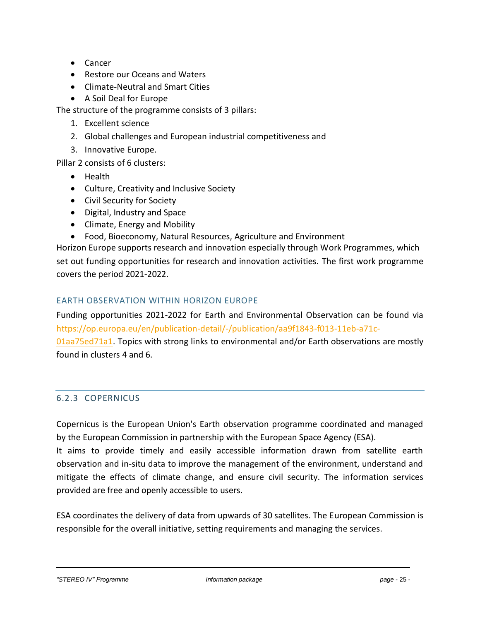- [Cancer](https://ec.europa.eu/info/research-and-innovation/funding/funding-opportunities/funding-programmes-and-open-calls/horizon-europe/eu-missions-horizon-europe/cancer_en)
- [Restore our Oceans and Waters](https://ec.europa.eu/info/research-and-innovation/funding/funding-opportunities/funding-programmes-and-open-calls/horizon-europe/eu-missions-horizon-europe/healthy-oceans-seas-coastal-and-inland-waters_en)
- [Climate-Neutral and Smart Cities](https://ec.europa.eu/info/research-and-innovation/funding/funding-opportunities/funding-programmes-and-open-calls/horizon-europe/eu-missions-horizon-europe/climate-neutral-and-smart-cities_en)
- [A Soil Deal for Europe](https://ec.europa.eu/info/research-and-innovation/funding/funding-opportunities/funding-programmes-and-open-calls/horizon-europe/eu-missions-horizon-europe/soil-health-and-food_en)

The structure of the programme consists of 3 pillars:

- 1. Excellent science
- 2. Global challenges and European industrial competitiveness and
- 3. Innovative Europe.

Pillar 2 consists of 6 clusters:

- [Health](https://ec.europa.eu/info/research-and-innovation/funding/funding-opportunities/funding-programmes-and-open-calls/horizon-europe/cluster-1-health_en)
- [Culture, Creativity and Inclusive Society](https://ec.europa.eu/info/research-and-innovation/funding/funding-opportunities/funding-programmes-and-open-calls/horizon-europe/cluster-2-culture-creativity-and-inclusive-society_en)
- [Civil Security for Society](https://ec.europa.eu/info/research-and-innovation/funding/funding-opportunities/funding-programmes-and-open-calls/horizon-europe/cluster-3-civil-security-society_en)
- [Digital, Industry and Space](https://ec.europa.eu/info/research-and-innovation/funding/funding-opportunities/funding-programmes-and-open-calls/horizon-europe/cluster-4-digital-industry-and-space_en)
- [Climate, Energy and Mobility](https://ec.europa.eu/info/research-and-innovation/funding/funding-opportunities/funding-programmes-and-open-calls/horizon-europe/cluster-5-climate-energy-and-mobility_en)
- [Food, Bioeconomy, Natural Resources, Agriculture and Environment](https://ec.europa.eu/info/research-and-innovation/funding/funding-opportunities/funding-programmes-and-open-calls/horizon-europe/cluster-6-food-bioeconomy-natural-resources-agriculture-and-environment_en)

Horizon Europe supports research and innovation especially through Work Programmes, which set out funding opportunities for research and innovation activities. The first work programme covers the period 2021-2022.

# EARTH OBSERVATION WITHIN HORIZON EUROPE

Funding opportunities 2021-2022 for Earth and Environmental Observation can be found via [https://op.europa.eu/en/publication-detail/-/publication/aa9f1843-f013-11eb-a71c-](https://op.europa.eu/en/publication-detail/-/publication/aa9f1843-f013-11eb-a71c-01aa75ed71a1)[01aa75ed71a1.](https://op.europa.eu/en/publication-detail/-/publication/aa9f1843-f013-11eb-a71c-01aa75ed71a1) Topics with strong links to environmental and/or Earth observations are mostly found in clusters 4 and 6.

# 6.2.3 COPERNICUS

<span id="page-24-0"></span>Copernicus is the [European Union'](https://en.wikipedia.org/wiki/European_Union)s Earth observation programme coordinated and managed by the [European Commission](https://en.wikipedia.org/wiki/European_Commission) in partnership with the [European Space Agency](https://en.wikipedia.org/wiki/European_Space_Agency) (ESA).

It aims to provide timely and easily accessible information drawn from satellite earth observation and in-situ data to improve the management of the environment, understand and [mitigate the effects of climate change,](https://en.wikipedia.org/wiki/Climate_change_mitigation) and ensure civil security. The information services provided are free and openly accessible to users.

ESA coordinates the delivery of data from upwards of 30 satellites. The European Commission is responsible for the overall initiative, setting requirements and managing the services.